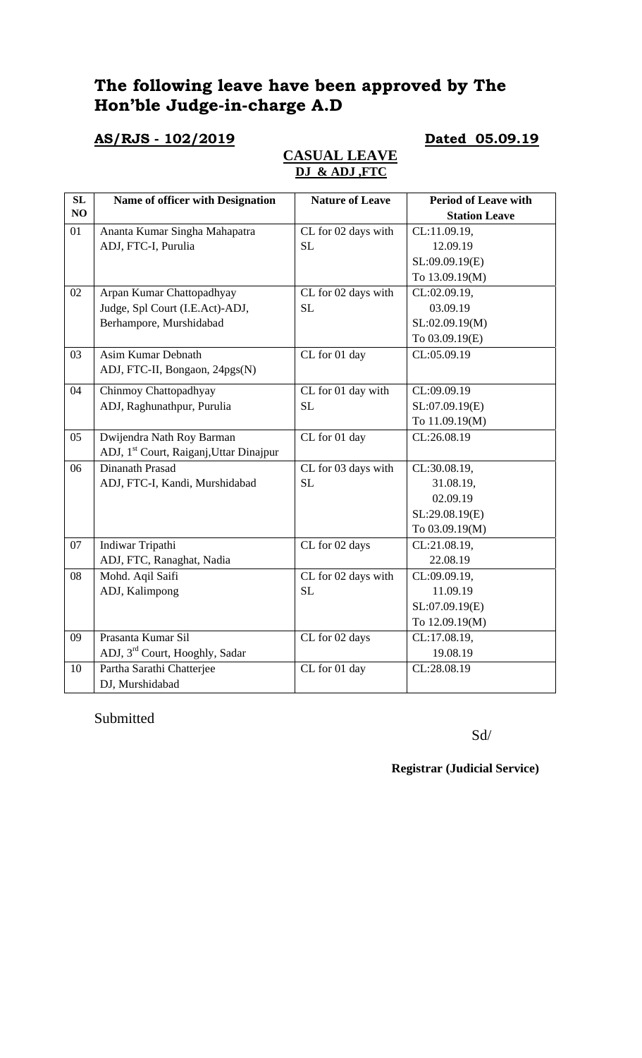# **The following leave have been approved by The Hon'ble Judge-in-charge A.D**

### **AS/RJS - 102/2019 Dated 05.09.19**

## **CASUAL LEAVE DJ & ADJ ,FTC**

| $\overline{\text{SL}}$ | Name of officer with Designation                    | <b>Nature of Leave</b>                  | <b>Period of Leave with</b> |
|------------------------|-----------------------------------------------------|-----------------------------------------|-----------------------------|
| NO                     |                                                     |                                         | <b>Station Leave</b>        |
| 01                     | Ananta Kumar Singha Mahapatra                       | CL for 02 days with                     | CL:11.09.19,                |
|                        | ADJ, FTC-I, Purulia                                 | <b>SL</b>                               | 12.09.19                    |
|                        |                                                     |                                         | SL:09.09.19(E)              |
|                        |                                                     |                                         | To 13.09.19(M)              |
| 02                     | Arpan Kumar Chattopadhyay                           | CL for 02 days with                     | CL:02.09.19,                |
|                        | Judge, Spl Court (I.E.Act)-ADJ,                     | <b>SL</b>                               | 03.09.19                    |
|                        | Berhampore, Murshidabad                             |                                         | SL:02.09.19(M)              |
|                        |                                                     |                                         | To 03.09.19(E)              |
| 03                     | <b>Asim Kumar Debnath</b>                           | CL for 01 day                           | CL:05.09.19                 |
|                        | ADJ, FTC-II, Bongaon, 24pgs(N)                      |                                         |                             |
| 04                     | Chinmoy Chattopadhyay                               | CL for 01 day with                      | CL:09.09.19                 |
|                        | ADJ, Raghunathpur, Purulia                          | <b>SL</b>                               | SL:07.09.19(E)              |
|                        |                                                     |                                         | To 11.09.19(M)              |
| 05                     | Dwijendra Nath Roy Barman                           | CL for 01 day                           | CL:26.08.19                 |
|                        | ADJ, 1 <sup>st</sup> Court, Raiganj, Uttar Dinajpur |                                         |                             |
| 06                     | Dinanath Prasad                                     | CL for 03 days with                     | CL:30.08.19,                |
|                        | ADJ, FTC-I, Kandi, Murshidabad                      | <b>SL</b>                               | 31.08.19,                   |
|                        |                                                     |                                         | 02.09.19                    |
|                        |                                                     |                                         | SL:29.08.19(E)              |
|                        |                                                     |                                         | To 03.09.19(M)              |
| 07                     | Indiwar Tripathi                                    | CL for 02 days                          | CL:21.08.19,                |
|                        | ADJ, FTC, Ranaghat, Nadia                           |                                         | 22.08.19                    |
| 08                     | Mohd. Aqil Saifi                                    | $\overline{\text{CL}}$ for 02 days with | CL:09.09.19,                |
|                        | ADJ, Kalimpong                                      | <b>SL</b>                               | 11.09.19                    |
|                        |                                                     |                                         | SL:07.09.19(E)              |
|                        |                                                     |                                         | To 12.09.19(M)              |
| 09                     | Prasanta Kumar Sil                                  | CL for 02 days                          | CL:17.08.19,                |
|                        | ADJ, 3 <sup>rd</sup> Court, Hooghly, Sadar          |                                         | 19.08.19                    |
| 10                     | Partha Sarathi Chatterjee                           | CL for 01 day                           | CL:28.08.19                 |
|                        | DJ, Murshidabad                                     |                                         |                             |

### Submitted

Sd/

**Registrar (Judicial Service)**